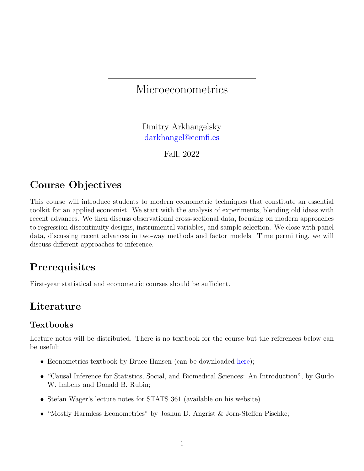#### **Microeconometrics**

Dmitry Arkhangelsky [darkhangel@cemfi.es](mailto: darkhangel@cemfi.es)

Fall, 2022

# Course Objectives

This course will introduce students to modern econometric techniques that constitute an essential toolkit for an applied economist. We start with the analysis of experiments, blending old ideas with recent advances. We then discuss observational cross-sectional data, focusing on modern approaches to regression discontinuity designs, instrumental variables, and sample selection. We close with panel data, discussing recent advances in two-way methods and factor models. Time permitting, we will discuss different approaches to inference.

# **Prerequisites**

First-year statistical and econometric courses should be sufficient.

# Literature

#### Textbooks

Lecture notes will be distributed. There is no textbook for the course but the references below can be useful:

- Econometrics textbook by Bruce Hansen (can be downloaded [here\)](https://www.ssc.wisc.edu/~bhansen/econometrics/);
- "Causal Inference for Statistics, Social, and Biomedical Sciences: An Introduction", by Guido W. Imbens and Donald B. Rubin;
- Stefan Wager's lecture notes for STATS 361 (available on his website)
- "Mostly Harmless Econometrics" by Joshua D. Angrist & Jorn-Steffen Pischke;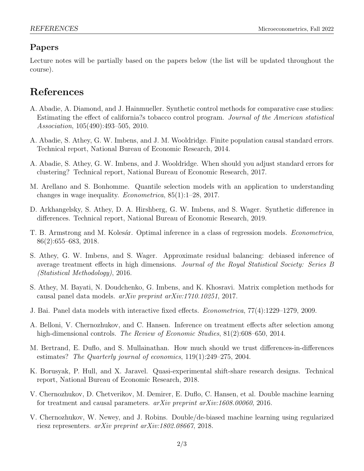#### Papers

Lecture notes will be partially based on the papers below (the list will be updated throughout the course).

# References

- A. Abadie, A. Diamond, and J. Hainmueller. Synthetic control methods for comparative case studies: Estimating the effect of california?s tobacco control program. Journal of the American statistical Association, 105(490):493–505, 2010.
- A. Abadie, S. Athey, G. W. Imbens, and J. M. Wooldridge. Finite population causal standard errors. Technical report, National Bureau of Economic Research, 2014.
- A. Abadie, S. Athey, G. W. Imbens, and J. Wooldridge. When should you adjust standard errors for clustering? Technical report, National Bureau of Economic Research, 2017.
- M. Arellano and S. Bonhomme. Quantile selection models with an application to understanding changes in wage inequality. Econometrica, 85(1):1–28, 2017.
- D. Arkhangelsky, S. Athey, D. A. Hirshberg, G. W. Imbens, and S. Wager. Synthetic difference in differences. Technical report, National Bureau of Economic Research, 2019.
- T. B. Armstrong and M. Kolesár. Optimal inference in a class of regression models. *Econometrica*, 86(2):655–683, 2018.
- S. Athey, G. W. Imbens, and S. Wager. Approximate residual balancing: debiased inference of average treatment effects in high dimensions. Journal of the Royal Statistical Society: Series B (Statistical Methodology), 2016.
- S. Athey, M. Bayati, N. Doudchenko, G. Imbens, and K. Khosravi. Matrix completion methods for causal panel data models. arXiv preprint arXiv:1710.10251, 2017.
- J. Bai. Panel data models with interactive fixed effects. Econometrica, 77(4):1229–1279, 2009.
- A. Belloni, V. Chernozhukov, and C. Hansen. Inference on treatment effects after selection among high-dimensional controls. The Review of Economic Studies, 81(2):608–650, 2014.
- M. Bertrand, E. Duflo, and S. Mullainathan. How much should we trust differences-in-differences estimates? The Quarterly journal of economics, 119(1):249–275, 2004.
- K. Borusyak, P. Hull, and X. Jaravel. Quasi-experimental shift-share research designs. Technical report, National Bureau of Economic Research, 2018.
- V. Chernozhukov, D. Chetverikov, M. Demirer, E. Duflo, C. Hansen, et al. Double machine learning for treatment and causal parameters.  $arXiv$  preprint  $arXiv:1608.00060$ , 2016.
- V. Chernozhukov, W. Newey, and J. Robins. Double/de-biased machine learning using regularized riesz representers. arXiv preprint arXiv:1802.08667, 2018.